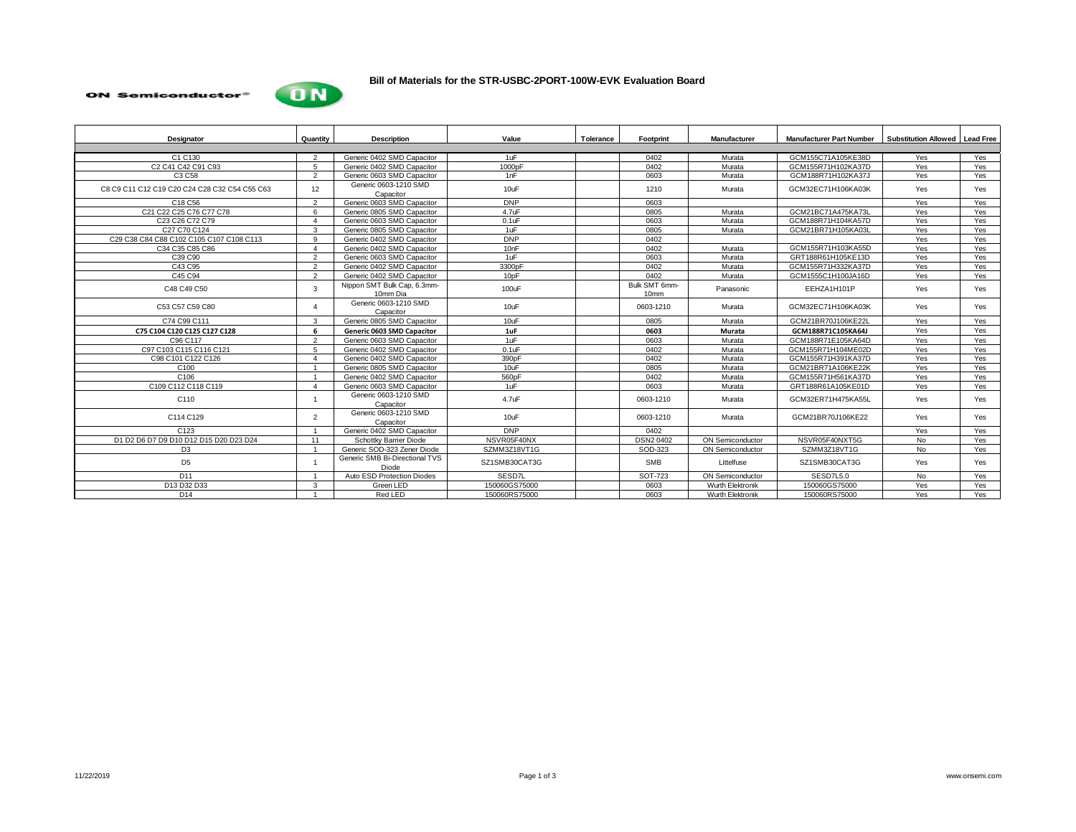## **ON Semiconductor®**



## **Bill of Materials for the STR-USBC-2PORT-100W-EVK Evaluation Board**

| Designator                                                                     | Quantity               | <b>Description</b>                      | Value               | Tolerance | Footprint                         | Manufacturer            | <b>Manufacturer Part Number</b> | <b>Substitution Allowed</b> Lead Free |     |  |
|--------------------------------------------------------------------------------|------------------------|-----------------------------------------|---------------------|-----------|-----------------------------------|-------------------------|---------------------------------|---------------------------------------|-----|--|
|                                                                                |                        |                                         |                     |           |                                   |                         |                                 |                                       |     |  |
| C1 C130                                                                        | $\overline{2}$         | Generic 0402 SMD Capacitor              | 1uF                 |           | 0402                              | Murata                  | GCM155C71A105KE38D              | Yes                                   | Yes |  |
| C <sub>2</sub> C <sub>41</sub> C <sub>42</sub> C <sub>91</sub> C <sub>93</sub> | -5                     | Generic 0402 SMD Capacitor              | 1000 <sub>D</sub> F |           | 0402                              | Murata                  | GCM155R71H102KA37D              | Yes                                   | Yes |  |
| C3 C58                                                                         | $\overline{2}$         | Generic 0603 SMD Capacitor              | 1nF                 |           | 0603                              | Murata                  | GCM188R71H102KA37J              | Yes                                   | Yes |  |
| C8 C9 C11 C12 C19 C20 C24 C28 C32 C54 C55 C63                                  | 12                     | Generic 0603-1210 SMD<br>Capacitor      | 10uF                |           | 1210                              | Murata                  | GCM32EC71H106KA03K              | Yes                                   | Yes |  |
| C18 C56                                                                        | 2                      | Generic 0603 SMD Capacitor              | <b>DNP</b>          |           | 0603                              |                         |                                 | Yes                                   | Yes |  |
| C21 C22 C25 C76 C77 C78                                                        | 6                      | Generic 0805 SMD Capacitor              | $4.7$ uF            |           | 0805                              | Murata                  | GCM21BC71A475KA73L              | Yes                                   | Yes |  |
| C23 C26 C72 C79                                                                | $\boldsymbol{\Lambda}$ | Generic 0603 SMD Capacitor              | $0.1$ u $F$         |           | 0603                              | Murata                  | GCM188R71H104KA57D              | Yes                                   | Yes |  |
| C27 C70 C124                                                                   | 3                      | Generic 0805 SMD Capacitor              | 1uF                 |           | 0805                              | Murata                  | GCM21BR71H105KA03L              | Yes                                   | Yes |  |
| C29 C38 C84 C88 C102 C105 C107 C108 C113                                       | $\mathbf{q}$           | Generic 0402 SMD Capacitor              | <b>DNP</b>          |           | 0402                              |                         |                                 | Yes                                   | Yes |  |
| C34 C35 C85 C86                                                                | $\overline{a}$         | Generic 0402 SMD Capacitor              | 10 <sub>nF</sub>    |           | 0402                              | Murata                  | GCM155R71H103KA55D              | Yes                                   | Yes |  |
| C39 C90                                                                        | $\mathcal{P}$          | Generic 0603 SMD Capacitor              | 1uF                 |           | 0603                              | Murata                  | GRT188R61H105KE13D              | Yes                                   | Yes |  |
| C43 C95                                                                        | $\overline{2}$         | Generic 0402 SMD Capacitor              | 3300 <sub>p</sub> F |           | 0402                              | Murata                  | GCM155R71H332KA37D              | Yes                                   | Yes |  |
| C <sub>45</sub> C <sub>94</sub>                                                | $\overline{2}$         | Generic 0402 SMD Capacitor              | 10 <sub>pF</sub>    |           | 0402                              | Murata                  | GCM1555C1H100JA16D              | Yes                                   | Yes |  |
| C48 C49 C50                                                                    | 3                      | Nippon SMT Bulk Cap, 6.3mm-<br>10mm Dia | 100uF               |           | Bulk SMT 6mm-<br>10 <sub>mm</sub> | Panasonic               | EEHZA1H101P                     | Yes                                   | Yes |  |
| C53 C57 C59 C80                                                                |                        | Generic 0603-1210 SMD<br>Capacitor      | 10uF                |           | 0603-1210                         | Murata                  | GCM32EC71H106KA03K              | Yes                                   | Yes |  |
| C74 C99 C111                                                                   | $\mathbf{3}$           | Generic 0805 SMD Capacitor              | 10uF                |           | 0805                              | Murata                  | GCM21BR70J106KE22L              | Yes                                   | Yes |  |
| C75 C104 C120 C125 C127 C128                                                   | 6                      | <b>Generic 0603 SMD Capacitor</b>       | 1uF                 |           | 0603                              | Murata                  | GCM188R71C105KA64J              | Yes                                   | Yes |  |
| C96 C117                                                                       | $\overline{2}$         | Generic 0603 SMD Capacitor              | 1uF                 |           | 0603                              | Murata                  | GCM188R71E105KA64D              | Yes                                   | Yes |  |
| C97 C103 C115 C116 C121                                                        | 5                      | Generic 0402 SMD Capacitor              | $0.1$ uF            |           | 0402                              | Murata                  | GCM155R71H104ME02D              | Yes                                   | Yes |  |
| C98 C101 C122 C126                                                             | $\overline{A}$         | Generic 0402 SMD Capacitor              | 390 <sub>p</sub> F  |           | 0402                              | Murata                  | GCM155R71H391KA37D              | Yes                                   | Yes |  |
| C <sub>100</sub>                                                               |                        | Generic 0805 SMD Capacitor              | 10uF                |           | 0805                              | Murata                  | GCM21BR71A106KE22K              | Yes                                   | Yes |  |
| C <sub>106</sub>                                                               | $\overline{1}$         | Generic 0402 SMD Capacitor              | 560 <sub>p</sub> F  |           | 0402                              | Murata                  | GCM155R71H561KA37D              | Yes                                   | Yes |  |
| C109 C112 C118 C119                                                            | $\overline{A}$         | Generic 0603 SMD Capacitor              | 1uF                 |           | 0603                              | Murata                  | GRT188R61A105KE01D              | Yes                                   | Yes |  |
| C110                                                                           |                        | Generic 0603-1210 SMD<br>Capacitor      | 4.7uF               |           | 0603-1210                         | Murata                  | GCM32ER71H475KA55L              | Yes                                   | Yes |  |
| C114 C129                                                                      | $\overline{2}$         | Generic 0603-1210 SMD<br>Capacitor      | 10uF                |           | 0603-1210                         | Murata                  | GCM21BR70J106KE22               | Yes                                   | Yes |  |
| C <sub>123</sub>                                                               | $\overline{1}$         | Generic 0402 SMD Capacitor              | <b>DNP</b>          |           | 0402                              |                         |                                 | Yes                                   | Yes |  |
| D1 D2 D6 D7 D9 D10 D12 D15 D20 D23 D24                                         | 11                     | Schottky Barrier Diode                  | NSVR05F40NX         |           | <b>DSN2 0402</b>                  | <b>ON Semiconductor</b> | NSVR05F40NXT5G                  | No                                    | Yes |  |
| D <sub>3</sub>                                                                 |                        | Generic SOD-323 Zener Diode             | SZMM3Z18VT1G        |           | SOD-323                           | <b>ON Semiconductor</b> | SZMM3Z18VT1G                    | N <sub>o</sub>                        | Yes |  |
| D <sub>5</sub>                                                                 |                        | Generic SMB Bi-Directional TVS<br>Diode | SZ1SMB30CAT3G       |           | <b>SMB</b>                        | Littelfuse              | SZ1SMB30CAT3G                   | Yes                                   | Yes |  |
| D <sub>11</sub>                                                                | $\overline{1}$         | Auto ESD Protection Diodes              | SESD7L              |           | SOT-723                           | ON Semiconductor        | SESD7L5.0                       | No                                    | Yes |  |
| D13 D32 D33                                                                    | 3                      | Green LED                               | 150060GS75000       |           | 0603                              | Wurth Elektronik        | 150060GS75000                   | Yes                                   | Yes |  |
| D <sub>14</sub>                                                                |                        | Red LED                                 | 150060RS75000       |           | 0603                              | Wurth Elektronik        | 150060RS75000                   | Yes                                   | Yes |  |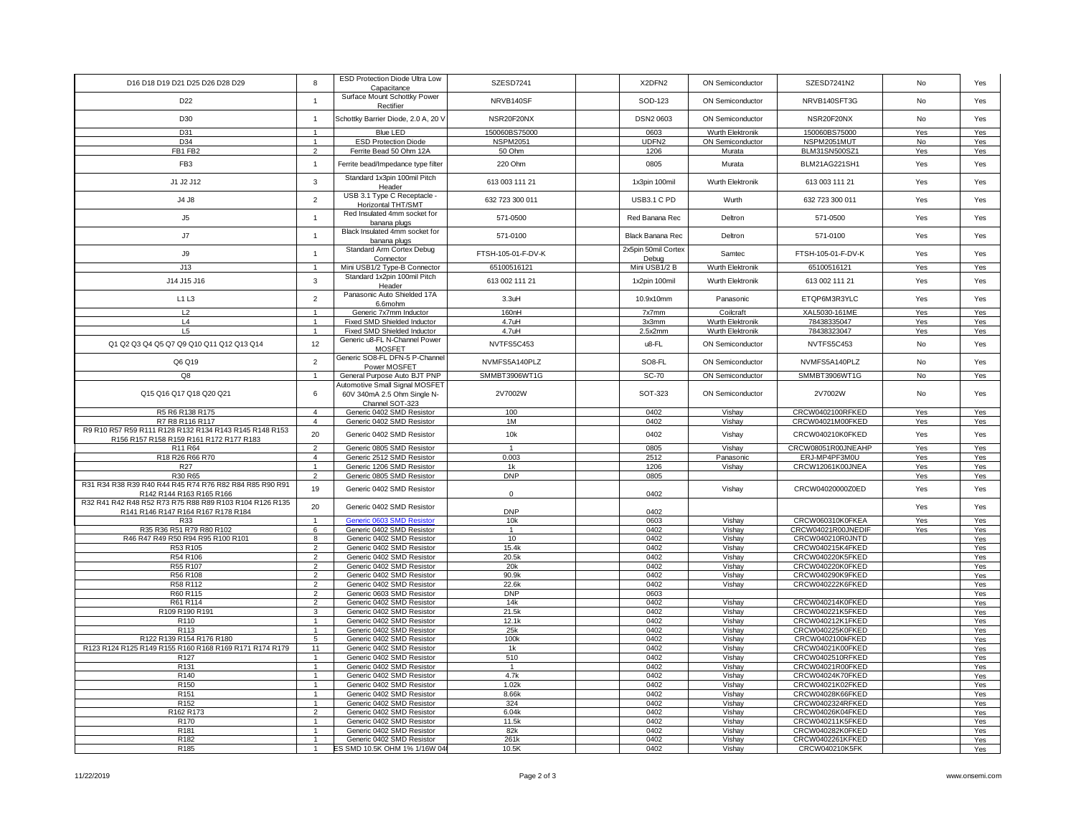|                                                         |                                  | ESD Protection Diode Ultra Low                            |                    |                     |                  |                                    |     |            |
|---------------------------------------------------------|----------------------------------|-----------------------------------------------------------|--------------------|---------------------|------------------|------------------------------------|-----|------------|
| D16 D18 D19 D21 D25 D26 D28 D29                         | 8                                | Capacitance                                               | SZESD7241          | X2DFN2              | ON Semiconductor | SZESD7241N2                        | No  | Yes        |
|                                                         |                                  | Surface Mount Schottky Power                              |                    |                     |                  |                                    |     |            |
| D22                                                     | $\overline{1}$                   | Rectifier                                                 | NRVB140SF          | SOD-123             | ON Semiconductor | NRVB140SFT3G                       | No  | Yes        |
|                                                         |                                  |                                                           |                    |                     |                  |                                    |     |            |
| D30                                                     | $\overline{1}$                   | Schottky Barrier Diode, 2.0 A, 20 \                       | NSR20F20NX         | <b>DSN2 0603</b>    | ON Semiconductor | NSR20F20NX                         | No  | Yes        |
| D31                                                     | $\overline{1}$                   | <b>Blue LED</b>                                           | 150060BS75000      | 0603                | Wurth Elektronik | 150060BS75000                      | Yes | Yes        |
|                                                         |                                  |                                                           |                    |                     |                  |                                    |     |            |
| D34                                                     | $\mathbf{1}$                     | <b>ESD Protection Diode</b>                               | <b>NSPM2051</b>    | UDFN2               | ON Semiconductor | NSPM2051MUT                        | No  | Yes        |
| FB1 FB2                                                 | 2                                | Ferrite Bead 50 Ohm 12A                                   | 50 Ohm             | 1206                | Murata           | BLM31SN500SZ1                      | Yes | Yes        |
| FB <sub>3</sub>                                         | $\overline{1}$                   | Ferrite bead/Impedance type filter                        | 220 Ohm            | 0805                | Murata           | BLM21AG221SH1                      | Yes | Yes        |
|                                                         |                                  |                                                           |                    |                     |                  |                                    |     |            |
| J1 J2 J12                                               | $\mathbf{3}$                     | Standard 1x3pin 100mil Pitch                              | 613 003 111 21     | 1x3pin 100mil       | Wurth Elektronik | 613 003 111 21                     | Yes | Yes        |
|                                                         |                                  | Header                                                    |                    |                     |                  |                                    |     |            |
| J4 J8                                                   | $\overline{2}$                   | USB 3.1 Type C Receptacle -                               | 632 723 300 011    | USB3.1 C PD         | Wurth            | 632 723 300 011                    | Yes | Yes        |
|                                                         |                                  | Horizontal THT/SMT                                        |                    |                     |                  |                                    |     |            |
| J5                                                      | $\mathbf{1}$                     | Red Insulated 4mm socket for                              | 571-0500           | Red Banana Rec      | Deltron          | 571-0500                           | Yes | Yes        |
|                                                         |                                  | banana plugs                                              |                    |                     |                  |                                    |     |            |
|                                                         |                                  | Black Insulated 4mm socket for                            |                    |                     |                  |                                    |     |            |
| J7                                                      | $\overline{1}$                   | banana plugs                                              | 571-0100           | Black Banana Rec    | Deltron          | 571-0100                           | Yes | Yes        |
|                                                         |                                  | Standard Arm Cortex Debug                                 |                    | 2x5pin 50mil Cortex |                  |                                    |     |            |
| J9                                                      | $\overline{1}$                   | Connector                                                 | FTSH-105-01-F-DV-K | Debug               | Samtec           | FTSH-105-01-F-DV-K                 | Yes | Yes        |
| J13                                                     |                                  | Mini USB1/2 Type-B Connector                              | 65100516121        | Mini USB1/2 B       | Wurth Elektronik | 65100516121                        | Yes | Yes        |
|                                                         |                                  | Standard 1x2pin 100mil Pitch                              |                    |                     |                  |                                    |     |            |
| J14 J15 J16                                             | $\mathbf{3}$                     | Header                                                    | 613 002 111 21     | 1x2pin 100mil       | Wurth Elektronik | 613 002 111 21                     | Yes | Yes        |
|                                                         |                                  | Panasonic Auto Shielded 17A                               |                    |                     |                  |                                    |     |            |
| L1 L3                                                   | $\overline{2}$                   | 6.6mohm                                                   | 3.3uH              | 10.9x10mm           | Panasonic        | ETQP6M3R3YLC                       | Yes | Yes        |
| L <sub>2</sub>                                          | $\mathbf{1}$                     | Generic 7x7mm Inductor                                    | 160 <sub>nH</sub>  | 7x7mm               | Coilcraft        | XAL5030-161ME                      | Yes | Yes        |
| L4                                                      | $\overline{1}$                   | Fixed SMD Shielded Inductor                               | 4.7uH              | 3x3mm               | Wurth Elektronik | 78438335047                        | Yes | Yes        |
| L <sub>5</sub>                                          | $\overline{1}$                   |                                                           |                    |                     |                  |                                    |     |            |
|                                                         |                                  | Fixed SMD Shielded Inductor                               | 4.7uH              | 2.5x2mm             | Wurth Elektronik | 78438323047                        | Yes | Yes        |
| Q1 Q2 Q3 Q4 Q5 Q7 Q9 Q10 Q11 Q12 Q13 Q14                | 12                               | Generic u8-FL N-Channel Power                             | NVTFS5C453         | u8-FL               | ON Semiconductor | NVTFS5C453                         | No  | Yes        |
|                                                         |                                  | <b>MOSFET</b>                                             |                    |                     |                  |                                    |     |            |
| Q6 Q19                                                  | $\overline{2}$                   | Generic SO8-FL DFN-5 P-Channel                            | NVMFS5A140PLZ      | SO8-FL              | ON Semiconductor | NVMFS5A140PLZ                      | No  | Yes        |
|                                                         |                                  | Power MOSFET                                              |                    |                     |                  |                                    |     |            |
| Q8                                                      | $\overline{1}$                   | General Purpose Auto BJT PNP                              | SMMBT3906WT1G      | $SC-70$             | ON Semiconductor | SMMBT3906WT1G                      | No  | Yes        |
|                                                         |                                  | Automotive Small Signal MOSFET                            |                    |                     |                  |                                    |     |            |
| Q15 Q16 Q17 Q18 Q20 Q21                                 | 6                                | 60V 340mA 2.5 Ohm Single N-                               | 2V7002W            | SOT-323             | ON Semiconductor | 2V7002W                            | No  | Yes        |
|                                                         |                                  | Channel SOT-323                                           |                    |                     |                  |                                    |     |            |
| R5 R6 R138 R175                                         | $\overline{4}$                   | Generic 0402 SMD Resistor                                 | 100                | 0402                | Vishay           | CRCW0402100RFKED                   | Yes | Yes        |
| R7 R8 R116 R117                                         | $\overline{A}$                   | Generic 0402 SMD Resistor                                 | 1M                 | 0402                | Vishay           | CRCW04021M00FKED                   | Yes | Yes        |
| R9 R10 R57 R59 R111 R128 R132 R134 R143 R145 R148 R153  | 20                               | Generic 0402 SMD Resistor                                 | 10k                | 0402                | Vishay           | CRCW040210K0FKED                   | Yes | Yes        |
| R156 R157 R158 R159 R161 R172 R177 R183                 |                                  |                                                           |                    |                     |                  |                                    |     |            |
| R11 R64                                                 | $\mathcal{P}$                    | Generic 0805 SMD Resistor                                 | $\overline{1}$     | 0805                | Vishay           | CRCW08051R00JNEAHP                 | Yes | Yes        |
| R18 R26 R66 R70                                         | $\overline{4}$                   | Generic 2512 SMD Resistor                                 | 0.003              | 2512                | Panasonic        | ERJ-MP4PF3M0U                      | Yes | Yes        |
| R27                                                     | $\overline{1}$                   | Generic 1206 SMD Resistor                                 | 1k                 | 1206                | Vishav           | CRCW12061K00JNEA                   |     | Yes        |
| R30 R65                                                 |                                  |                                                           |                    |                     |                  |                                    |     |            |
|                                                         | $\mathfrak{D}$                   |                                                           |                    |                     |                  |                                    | Yes |            |
|                                                         |                                  | Generic 0805 SMD Resistor                                 | <b>DNP</b>         | 0805                |                  |                                    | Yes | Yes        |
| R31 R34 R38 R39 R40 R44 R45 R74 R76 R82 R84 R85 R90 R91 | 19                               | Generic 0402 SMD Resistor                                 |                    |                     | Vishay           | CRCW04020000Z0ED                   | Yes | Yes        |
| R142 R144 R163 R165 R166                                |                                  |                                                           | $\mathbf{0}$       | 0402                |                  |                                    |     |            |
| R32 R41 R42 R48 R52 R73 R75 R88 R89 R103 R104 R126 R135 | 20                               | Generic 0402 SMD Resistor                                 |                    |                     |                  |                                    | Yes | Yes        |
| R141 R146 R147 R164 R167 R178 R184                      |                                  |                                                           | <b>DNP</b>         | 0402                |                  |                                    |     |            |
| R33                                                     | $\overline{1}$                   | Generic 0603 SMD Resistor                                 | 10k                | 0603                | Vishay           | CRCW060310K0FKEA                   | Yes | Yes        |
| R35 R36 R51 R79 R80 R102                                | 6                                | Generic 0402 SMD Resistor                                 | $\mathbf{1}$       | 0402                | Vishay           | CRCW04021R00JNEDIF                 | Yes | Yes        |
| R46 R47 R49 R50 R94 R95 R100 R101                       | 8                                | Generic 0402 SMD Resistor                                 | 10                 | 0402                | Vishay           | CRCW040210R0JNTD                   |     | Yes        |
| R53 R105                                                | $\overline{2}$                   | Generic 0402 SMD Resistor                                 | 15.4k              | 0402                | Vishay           | CRCW040215K4FKED                   |     | Yes        |
| R54 R106                                                | $\overline{2}$                   | Generic 0402 SMD Resistor                                 | 20.5k              | 0402                | Vishay           | CRCW040220K5FKED                   |     | Yes        |
| R55 R107                                                | $\mathcal{L}$                    | Generic 0402 SMD Resistor                                 | 20k                | 0402                | Vishay           | CRCW040220K0FKED                   |     | Yes        |
| R56 R108                                                | $\mathfrak{p}$                   | Generic 0402 SMD Resistor                                 | 90.9k              | 0402                | Vishay           | CRCW040290K9FKED                   |     | Yes        |
| R58 R112                                                | $\overline{2}$                   | Generic 0402 SMD Resistor                                 | 22.6k              | 0402                | Vishay           | CRCW040222K6FKED                   |     | Yes        |
| R60 R115                                                | $\overline{2}$                   | Generic 0603 SMD Resistor                                 | <b>DNP</b>         | 0603                |                  |                                    |     | Yes        |
| R61 R114                                                | $\overline{2}$                   | Generic 0402 SMD Resistor                                 | 14k                | 0402                | Vishay           | CRCW040214K0FKED                   |     | Yes        |
| R109 R190 R191                                          | 3                                | Generic 0402 SMD Resistor                                 | 21.5k              | 0402                | Vishay           | CRCW040221K5FKED                   |     | Yes        |
| R110                                                    | $\overline{1}$                   | Generic 0402 SMD Resistor                                 | 12.1k              | 0402                | Vishay           | CRCW040212K1FKED                   |     |            |
|                                                         | $\overline{1}$                   |                                                           |                    |                     |                  |                                    |     | Yes        |
| R113                                                    |                                  | Generic 0402 SMD Resistor                                 | 25k                | 0402                | Vishay           | CRCW040225K0FKED                   |     | Yes        |
| R122 R139 R154 R176 R180                                | 5                                | Generic 0402 SMD Resistor                                 | 100k               | 0402                | Vishay           | CRCW0402100kFKED                   |     | Yes        |
| R123 R124 R125 R149 R155 R160 R168 R169 R171 R174 R179  | 11<br>$\overline{1}$             | Generic 0402 SMD Resistor                                 | 1k                 | 0402                | Vishay           | CRCW04021K00FKED                   |     | Yes        |
| R <sub>127</sub>                                        |                                  | Generic 0402 SMD Resistor                                 | 510                | 0402                | Vishay           | CRCW0402510RFKED                   |     | Yes        |
| R <sub>131</sub>                                        | $\overline{1}$                   | Generic 0402 SMD Resistor                                 | $\overline{1}$     | 0402                | Vishay           | CRCW04021R00FKED                   |     | Yes        |
| R <sub>140</sub>                                        | $\overline{1}$                   | Generic 0402 SMD Resistor                                 | 4.7k               | 0402                | Vishay           | CRCW04024K70FKED                   |     | Yes        |
| R <sub>150</sub>                                        | $\overline{1}$                   | Generic 0402 SMD Resistor                                 | 1.02k              | 0402                | Vishay           | CRCW04021K02FKED                   |     | Yes        |
| R <sub>151</sub>                                        |                                  | Generic 0402 SMD Resistor                                 | 8.66k              | 0402                | Vishay           | CRCW04028K66FKED                   |     | Yes        |
| R <sub>152</sub>                                        |                                  | Generic 0402 SMD Resistor                                 | 324                | 0402                | Vishay           | CRCW0402324RFKED                   |     | Yes        |
| R162 R173                                               | $\mathcal{P}$                    | Generic 0402 SMD Resistor                                 | 6.04k              | 0402                | Vishay           | CRCW04026K04FKED                   |     | Yes        |
| R <sub>170</sub>                                        | $\overline{1}$                   | Generic 0402 SMD Resistor                                 | 11.5k              | 0402                | Vishay           | CRCW040211K5FKED                   |     | Yes        |
| R <sub>181</sub>                                        | $\overline{1}$                   | Generic 0402 SMD Resistor                                 | 82k                | 0402                | Vishay           | CRCW040282K0FKED                   |     | Yes        |
| R <sub>182</sub><br>R <sub>185</sub>                    | $\overline{1}$<br>$\overline{1}$ | Generic 0402 SMD Resistor<br>ES SMD 10.5K OHM 1% 1/16W 04 | 261k<br>10.5K      | 0402<br>0402        | Vishay<br>Vishay | CRCW0402261KFKED<br>CRCW040210K5FK |     | Yes<br>Yes |